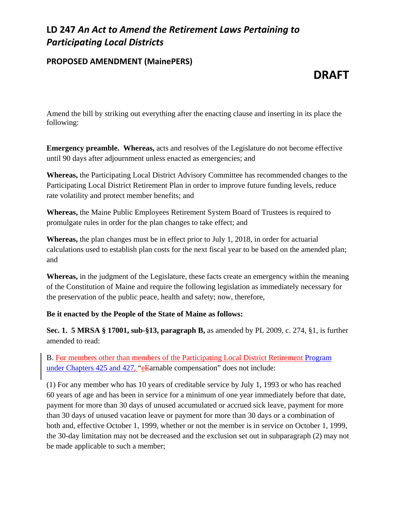## **LD 247** *An Act to Amend the Retirement Laws Pertaining to Participating Local Districts*

### **PROPOSED AMENDMENT (MainePERS)**

# **DRAFT**

Amend the bill by striking out everything after the enacting clause and inserting in its place the following:

**Emergency preamble. Whereas,** acts and resolves of the Legislature do not become effective until 90 days after adjournment unless enacted as emergencies; and

**Whereas,** the Participating Local District Advisory Committee has recommended changes to the Participating Local District Retirement Plan in order to improve future funding levels, reduce rate volatility and protect member benefits; and

**Whereas,** the Maine Public Employees Retirement System Board of Trustees is required to promulgate rules in order for the plan changes to take effect; and

**Whereas,** the plan changes must be in effect prior to July 1, 2018, in order for actuarial calculations used to establish plan costs for the next fiscal year to be based on the amended plan; and

**Whereas,** in the judgment of the Legislature, these facts create an emergency within the meaning of the Constitution of Maine and require the following legislation as immediately necessary for the preservation of the public peace, health and safety; now, therefore,

#### **Be it enacted by the People of the State of Maine as follows:**

**Sec. 1. 5 MRSA § 17001, sub-§13, paragraph B,** as amended by PL 2009, c. 274, §1, is further amended to read:

B. For members other than members of the Participating Local District Retirement Program under Chapters 425 and 427, "eEarnable compensation" does not include:

(1) For any member who has 10 years of creditable service by July 1, 1993 or who has reached 60 years of age and has been in service for a minimum of one year immediately before that date, payment for more than 30 days of unused accumulated or accrued sick leave, payment for more than 30 days of unused vacation leave or payment for more than 30 days or a combination of both and, effective October 1, 1999, whether or not the member is in service on October 1, 1999, the 30-day limitation may not be decreased and the exclusion set out in subparagraph (2) may not be made applicable to such a member;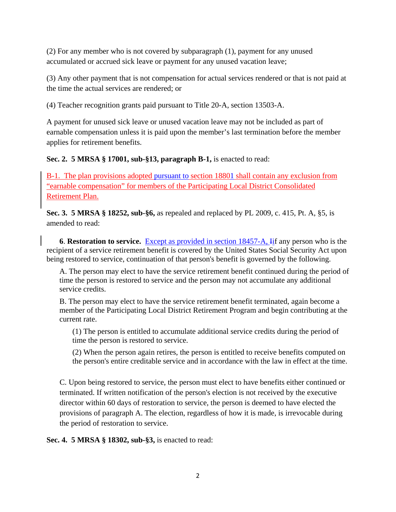(2) For any member who is not covered by subparagraph (1), payment for any unused accumulated or accrued sick leave or payment for any unused vacation leave;

(3) Any other payment that is not compensation for actual services rendered or that is not paid at the time the actual services are rendered; or

(4) Teacher recognition grants paid pursuant to Title 20-A, section 13503-A.

A payment for unused sick leave or unused vacation leave may not be included as part of earnable compensation unless it is paid upon the member's last termination before the member applies for retirement benefits.

**Sec. 2. 5 MRSA § 17001, sub-§13, paragraph B-1,** is enacted to read:

B-1. The plan provisions adopted pursuant to section 18801 shall contain any exclusion from "earnable compensation" for members of the Participating Local District Consolidated Retirement Plan.

**Sec. 3. 5 MRSA § 18252, sub-§6,** as repealed and replaced by PL 2009, c. 415, Pt. A, §5, is amended to read:

**6**. **Restoration to service.** Except as provided in section 18457-A, Iif any person who is the recipient of a service retirement benefit is covered by the United States Social Security Act upon being restored to service, continuation of that person's benefit is governed by the following.

A. The person may elect to have the service retirement benefit continued during the period of time the person is restored to service and the person may not accumulate any additional service credits.

B. The person may elect to have the service retirement benefit terminated, again become a member of the Participating Local District Retirement Program and begin contributing at the current rate.

(1) The person is entitled to accumulate additional service credits during the period of time the person is restored to service.

(2) When the person again retires, the person is entitled to receive benefits computed on the person's entire creditable service and in accordance with the law in effect at the time.

C. Upon being restored to service, the person must elect to have benefits either continued or terminated. If written notification of the person's election is not received by the executive director within 60 days of restoration to service, the person is deemed to have elected the provisions of paragraph A. The election, regardless of how it is made, is irrevocable during the period of restoration to service.

**Sec. 4. 5 MRSA § 18302, sub-§3,** is enacted to read: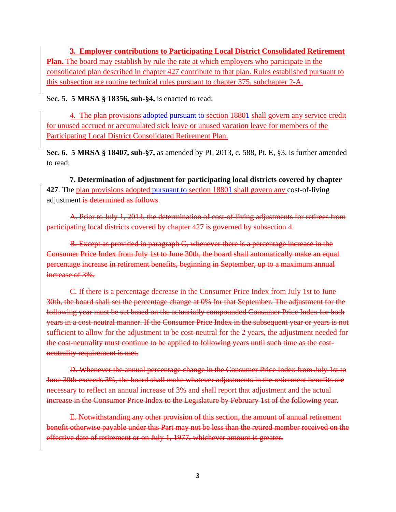**3. Employer contributions to Participating Local District Consolidated Retirement Plan.** The board may establish by rule the rate at which employers who participate in the consolidated plan described in chapter 427 contribute to that plan. Rules established pursuant to this subsection are routine technical rules pursuant to chapter 375, subchapter 2-A.

**Sec. 5. 5 MRSA § 18356, sub-§4,** is enacted to read:

4. The plan provisions adopted pursuant to section 18801 shall govern any service credit for unused accrued or accumulated sick leave or unused vacation leave for members of the Participating Local District Consolidated Retirement Plan.

**Sec. 6. 5 MRSA § 18407, sub-§7,** as amended by PL 2013, c. 588, Pt. E, §3, is further amended to read:

**7. Determination of adjustment for participating local districts covered by chapter 427**. The plan provisions adopted pursuant to section 18801 shall govern any cost-of-living adjustment is determined as follows.

A. Prior to July 1, 2014, the determination of cost-of-living adjustments for retirees from participating local districts covered by chapter 427 is governed by subsection 4.

B. Except as provided in paragraph C, whenever there is a percentage increase in the Consumer Price Index from July 1st to June 30th, the board shall automatically make an equal percentage increase in retirement benefits, beginning in September, up to a maximum annual increase of 3%.

C. If there is a percentage decrease in the Consumer Price Index from July 1st to June 30th, the board shall set the percentage change at 0% for that September. The adjustment for the following year must be set based on the actuarially compounded Consumer Price Index for both years in a cost-neutral manner. If the Consumer Price Index in the subsequent year or years is not sufficient to allow for the adjustment to be cost-neutral for the 2 years, the adjustment needed for the cost-neutrality must continue to be applied to following years until such time as the costneutrality requirement is met.

D. Whenever the annual percentage change in the Consumer Price Index from July 1st to June 30th exceeds 3%, the board shall make whatever adjustments in the retirement benefits are necessary to reflect an annual increase of 3% and shall report that adjustment and the actual increase in the Consumer Price Index to the Legislature by February 1st of the following year.

E. Notwithstanding any other provision of this section, the amount of annual retirement benefit otherwise payable under this Part may not be less than the retired member received on the effective date of retirement or on July 1, 1977, whichever amount is greater.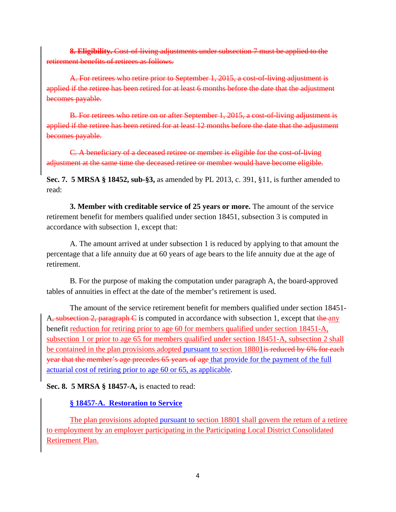**8. Eligibility.** Cost-of-living adjustments under subsection 7 must be applied to the retirement benefits of retirees as follows.

A. For retirees who retire prior to September 1, 2015, a cost-of-living adjustment is applied if the retiree has been retired for at least 6 months before the date that the adjustment becomes payable.

B. For retirees who retire on or after September 1, 2015, a cost-of-living adjustment is applied if the retiree has been retired for at least 12 months before the date that the adjustment becomes payable.

C. A beneficiary of a deceased retiree or member is eligible for the cost-of-living adjustment at the same time the deceased retiree or member would have become eligible.

**Sec. 7. 5 MRSA § 18452, sub-§3,** as amended by PL 2013, c. 391, §11, is further amended to read:

**3. Member with creditable service of 25 years or more.** The amount of the service retirement benefit for members qualified under section 18451, subsection 3 is computed in accordance with subsection 1, except that:

A. The amount arrived at under subsection 1 is reduced by applying to that amount the percentage that a life annuity due at 60 years of age bears to the life annuity due at the age of retirement.

B. For the purpose of making the computation under paragraph A, the board-approved tables of annuities in effect at the date of the member's retirement is used.

The amount of the service retirement benefit for members qualified under section 18451- A, subsection 2, paragraph  $\epsilon$  is computed in accordance with subsection 1, except that the any benefit reduction for retiring prior to age 60 for members qualified under section 18451-A, subsection 1 or prior to age 65 for members qualified under section 18451-A, subsection 2 shall be contained in the plan provisions adopted pursuant to section 18801<del> is reduced by 6% for each</del> year that the member's age precedes 65 years of age that provide for the payment of the full actuarial cost of retiring prior to age 60 or 65, as applicable.

**Sec. 8. 5 MRSA § 18457-A,** is enacted to read:

#### **§ 18457-A. Restoration to Service**

The plan provisions adopted pursuant to section 18801 shall govern the return of a retiree to employment by an employer participating in the Participating Local District Consolidated Retirement Plan.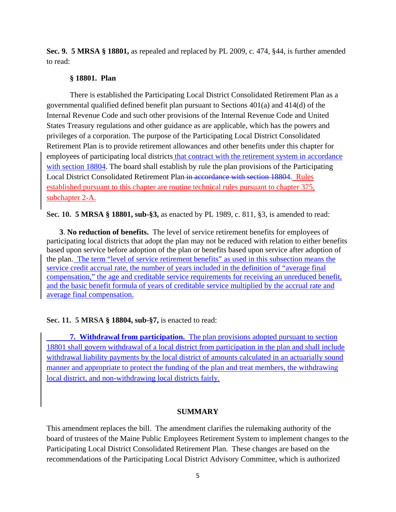**Sec. 9. 5 MRSA § 18801,** as repealed and replaced by PL 2009, c. 474, §44, is further amended to read:

#### **§ 18801. Plan**

There is established the Participating Local District Consolidated Retirement Plan as a governmental qualified defined benefit plan pursuant to Sections 401(a) and 414(d) of the Internal Revenue Code and such other provisions of the Internal Revenue Code and United States Treasury regulations and other guidance as are applicable, which has the powers and privileges of a corporation. The purpose of the Participating Local District Consolidated Retirement Plan is to provide retirement allowances and other benefits under this chapter for employees of participating local districts that contract with the retirement system in accordance with section 18804. The board shall establish by rule the plan provisions of the Participating Local District Consolidated Retirement Plan in accordance with section 18804. Rules established pursuant to this chapter are routine technical rules pursuant to chapter 375, subchapter 2-A.

**Sec. 10. 5 MRSA § 18801, sub-§3,** as enacted by PL 1989, c. 811, §3, is amended to read:

**3**. **No reduction of benefits.** The level of service retirement benefits for employees of participating local districts that adopt the plan may not be reduced with relation to either benefits based upon service before adoption of the plan or benefits based upon service after adoption of the plan. The term "level of service retirement benefits" as used in this subsection means the service credit accrual rate, the number of years included in the definition of "average final compensation," the age and creditable service requirements for receiving an unreduced benefit, and the basic benefit formula of years of creditable service multiplied by the accrual rate and average final compensation.

#### **Sec. 11. 5 MRSA § 18804, sub-§7,** is enacted to read:

**7. Withdrawal from participation.** The plan provisions adopted pursuant to section 18801 shall govern withdrawal of a local district from participation in the plan and shall include withdrawal liability payments by the local district of amounts calculated in an actuarially sound manner and appropriate to protect the funding of the plan and treat members, the withdrawing local district, and non-withdrawing local districts fairly.

#### **SUMMARY**

This amendment replaces the bill. The amendment clarifies the rulemaking authority of the board of trustees of the Maine Public Employees Retirement System to implement changes to the Participating Local District Consolidated Retirement Plan. These changes are based on the recommendations of the Participating Local District Advisory Committee, which is authorized